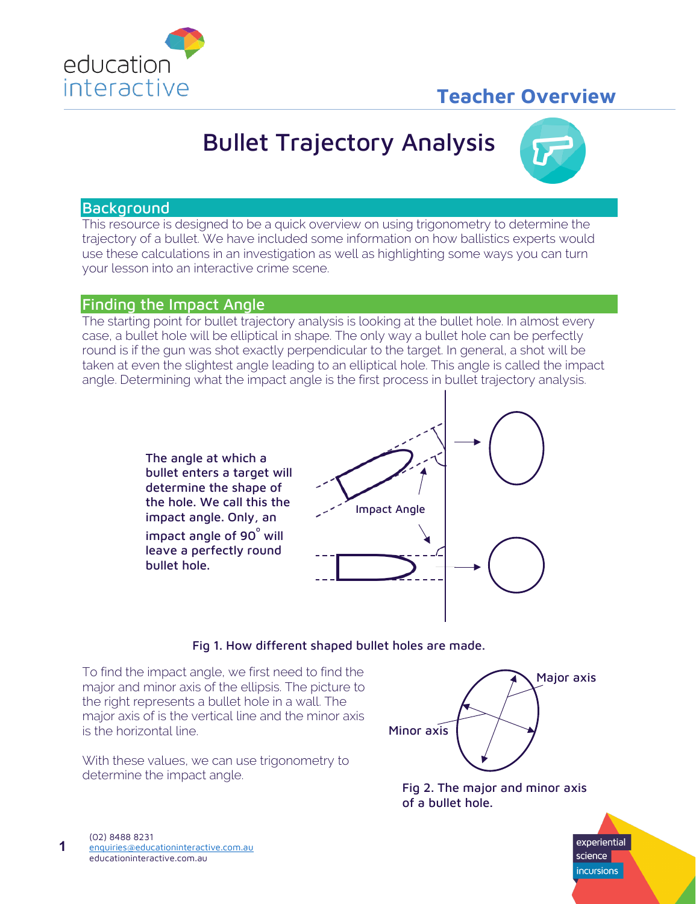

# **Teacher Overview**

# Bullet Trajectory Analysis



# **Background**

This resource is designed to be a quick overview on using trigonometry to determine the trajectory of a bullet. We have included some information on how ballistics experts would use these calculations in an investigation as well as highlighting some ways you can turn your lesson into an interactive crime scene.

# Finding the Impact Angle

The starting point for bullet trajectory analysis is looking at the bullet hole. In almost every case, a bullet hole will be elliptical in shape. The only way a bullet hole can be perfectly round is if the gun was shot exactly perpendicular to the target. In general, a shot will be taken at even the slightest angle leading to an elliptical hole. This angle is called the impact angle. Determining what the impact angle is the first process in bullet trajectory analysis.

> The angle at which a bullet enters a target will determine the shape of the hole. We call this the impact angle. Only, an impact angle of 90 $^{\circ}$  will leave a perfectly round bullet hole.



#### Fig 1. How different shaped bullet holes are made.

To find the impact angle, we first need to find the major and minor axis of the ellipsis. The picture to the right represents a bullet hole in a wall. The major axis of is the vertical line and the minor axis is the horizontal line.

With these values, we can use trigonometry to determine the impact angle.



Fig 2. The major and minor axis of a bullet hole.



**1**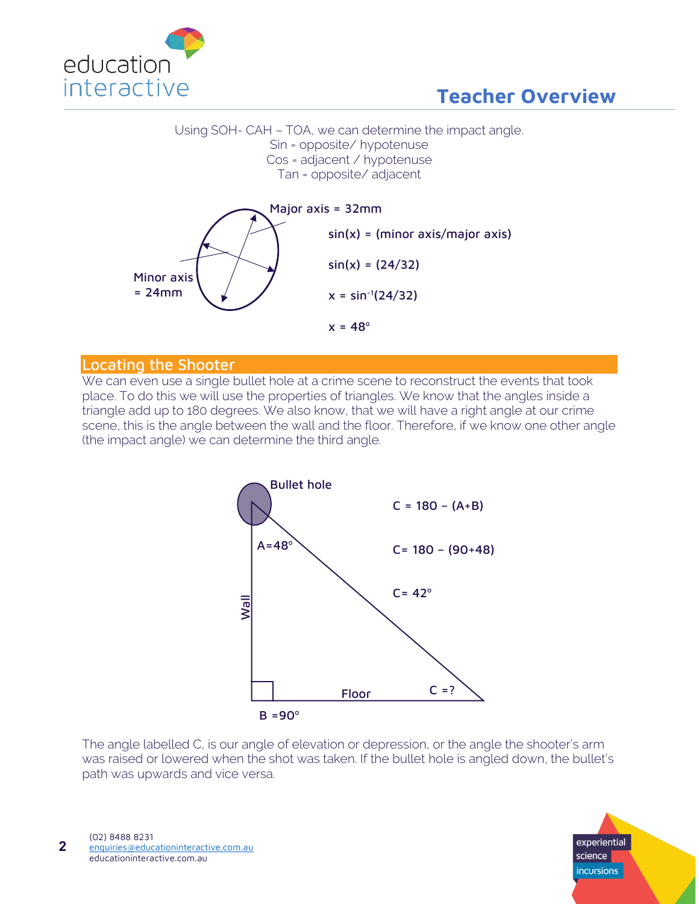

# Using SOH- CAH – TOA, we can determine the impact angle. Sin = opposite/ hypotenuse Cos = adjacent / hypotenuse Tan = opposite/ adjacent



# Locating the Shooter

We can even use a single bullet hole at a crime scene to reconstruct the events that took place. To do this we will use the properties of triangles. We know that the angles inside a triangle add up to 180 degrees. We also know, that we will have a right angle at our crime scene, this is the angle between the wall and the floor. Therefore, if we know one other angle (the impact angle) we can determine the third angle.



The angle labelled C, is our angle of elevation or depression, or the angle the shooter's arm was raised or lowered when the shot was taken. If the bullet hole is angled down, the bullet's path was upwards and vice versa.

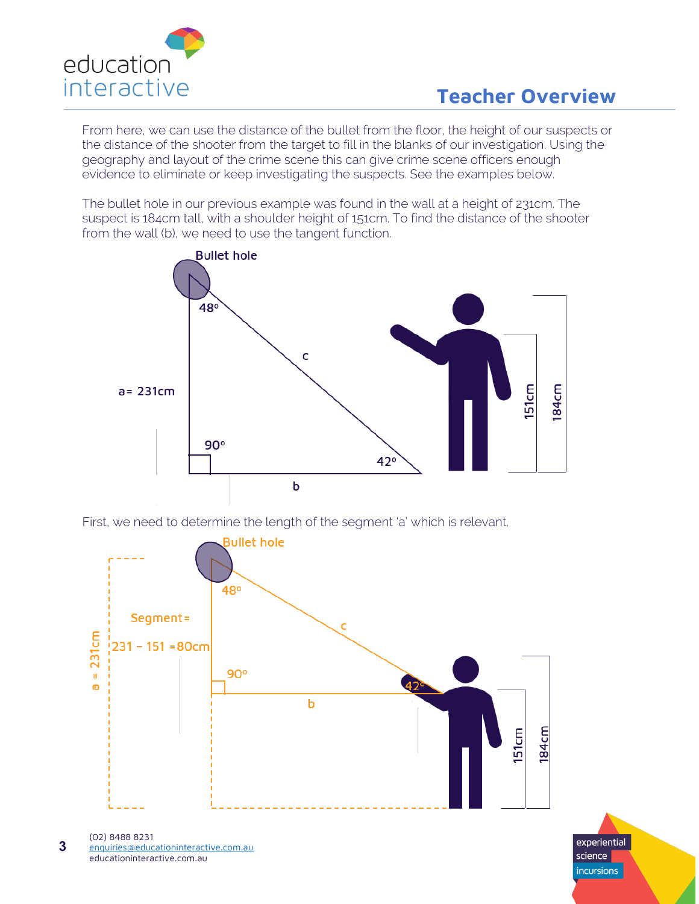

From here, we can use the distance of the bullet from the floor, the height of our suspects or the distance of the shooter from the target to fill in the blanks of our investigation. Using the geography and layout of the crime scene this can give crime scene officers enough evidence to eliminate or keep investigating the suspects. See the examples below.

The bullet hole in our previous example was found in the wall at a height of 231cm. The suspect is 184cm tall, with a shoulder height of 151cm. To find the distance of the shooter from the wall (b), we need to use the tangent function.







(02) 8488 8231 [enquiries@educationinteractive.com.au](mailto:enquiries@educationinteractive.com.au) educationinteractive.com.au **3**

experiential science **incursions**